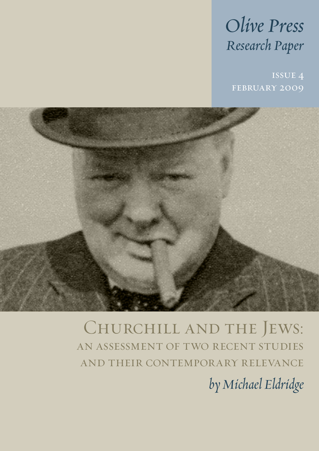# *Olive Press Research Paper*

february 2009



Churchill and the Jews: an assessment of two recent studies and their contemporary relevance

*by Michael Eldridge*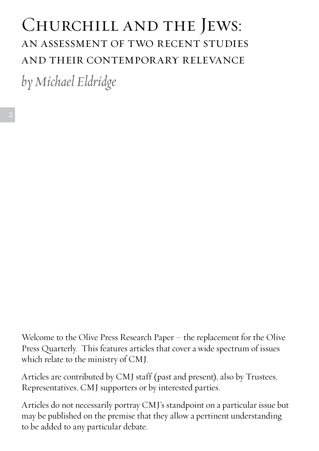# Churchill and the Jews: an assessment of two recent studies and their contemporary relevance

*by Michael Eldridge*

Welcome to the Olive Press Research Paper – the replacement for the Olive Press Quarterly. This features articles that cover a wide spectrum of issues which relate to the ministry of CMJ.

Articles are contributed by CMJ staff (past and present), also by Trustees, Representatives, CMJ supporters or by interested parties.

Articles do not necessarily portray CMJ's standpoint on a particular issue but may be published on the premise that they allow a pertinent understanding to be added to any particular debate.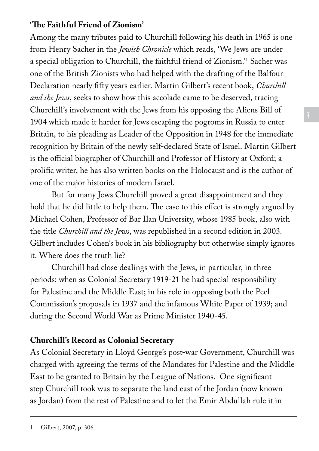## **'The Faithful Friend of Zionism'**

Among the many tributes paid to Churchill following his death in 1965 is one from Henry Sacher in the *Jewish Chronicle* which reads, 'We Jews are under a special obligation to Churchill, the faithful friend of Zionism.'1 Sacher was one of the British Zionists who had helped with the drafting of the Balfour Declaration nearly fifty years earlier. Martin Gilbert's recent book, *Churchill and the Jews*, seeks to show how this accolade came to be deserved, tracing Churchill's involvement with the Jews from his opposing the Aliens Bill of 1904 which made it harder for Jews escaping the pogroms in Russia to enter Britain, to his pleading as Leader of the Opposition in 1948 for the immediate recognition by Britain of the newly self-declared State of Israel. Martin Gilbert is the official biographer of Churchill and Professor of History at Oxford; a prolific writer, he has also written books on the Holocaust and is the author of one of the major histories of modern Israel.

But for many Jews Churchill proved a great disappointment and they hold that he did little to help them. The case to this effect is strongly argued by Michael Cohen, Professor of Bar Ilan University, whose 1985 book, also with the title *Churchill and the Jews*, was republished in a second edition in 2003. Gilbert includes Cohen's book in his bibliography but otherwise simply ignores it. Where does the truth lie?

Churchill had close dealings with the Jews, in particular, in three periods: when as Colonial Secretary 1919-21 he had special responsibility for Palestine and the Middle East; in his role in opposing both the Peel Commission's proposals in 1937 and the infamous White Paper of 1939; and during the Second World War as Prime Minister 1940-45.

## **Churchill's Record as Colonial Secretary**

As Colonial Secretary in Lloyd George's post-war Government, Churchill was charged with agreeing the terms of the Mandates for Palestine and the Middle East to be granted to Britain by the League of Nations. One significant step Churchill took was to separate the land east of the Jordan (now known as Jordan) from the rest of Palestine and to let the Emir Abdullah rule it in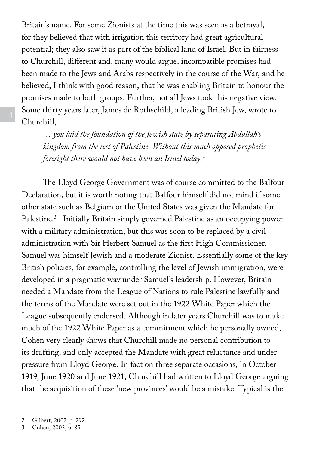Britain's name. For some Zionists at the time this was seen as a betrayal, for they believed that with irrigation this territory had great agricultural potential; they also saw it as part of the biblical land of Israel. But in fairness to Churchill, different and, many would argue, incompatible promises had been made to the Jews and Arabs respectively in the course of the War, and he believed, I think with good reason, that he was enabling Britain to honour the promises made to both groups. Further, not all Jews took this negative view. Some thirty years later, James de Rothschild, a leading British Jew, wrote to Churchill,

*… you laid the foundation of the Jewish state by separating Abdullah's kingdom from the rest of Palestine. Without this much opposed prophetic foresight there would not have been an Israel today.*<sup>2</sup>

The Lloyd George Government was of course committed to the Balfour Declaration, but it is worth noting that Balfour himself did not mind if some other state such as Belgium or the United States was given the Mandate for Palestine.3 Initially Britain simply governed Palestine as an occupying power with a military administration, but this was soon to be replaced by a civil administration with Sir Herbert Samuel as the first High Commissioner. Samuel was himself Jewish and a moderate Zionist. Essentially some of the key British policies, for example, controlling the level of Jewish immigration, were developed in a pragmatic way under Samuel's leadership. However, Britain needed a Mandate from the League of Nations to rule Palestine lawfully and the terms of the Mandate were set out in the 1922 White Paper which the League subsequently endorsed. Although in later years Churchill was to make much of the 1922 White Paper as a commitment which he personally owned, Cohen very clearly shows that Churchill made no personal contribution to its drafting, and only accepted the Mandate with great reluctance and under pressure from Lloyd George. In fact on three separate occasions, in October 1919, June 1920 and June 1921, Churchill had written to Lloyd George arguing that the acquisition of these 'new provinces' would be a mistake. Typical is the

<sup>2</sup> Gilbert, 2007, p. 292.

<sup>3</sup> Cohen, 2003, p. 85.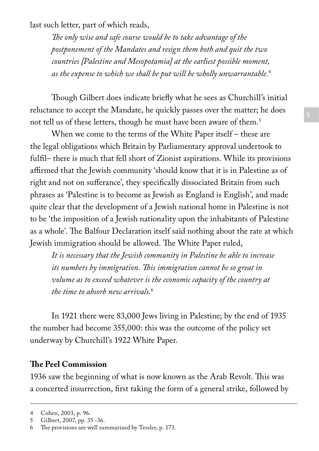last such letter, part of which reads,

*The only wise and safe course would be to take advantage of the postponement of the Mandates and resign them both and quit the two countries [Palestine and Mesopotamia] at the earliest possible moment, as the expense to which we shall be put will be wholly unwarrantable.*<sup>4</sup> 

Though Gilbert does indicate briefly what he sees as Churchill's initial reluctance to accept the Mandate, he quickly passes over the matter; he does not tell us of these letters, though he must have been aware of them.5

When we come to the terms of the White Paper itself – these are the legal obligations which Britain by Parliamentary approval undertook to fulfil– there is much that fell short of Zionist aspirations. While its provisions affirmed that the Jewish community 'should know that it is in Palestine as of right and not on sufferance', they specifically dissociated Britain from such phrases as 'Palestine is to become as Jewish as England is English', and made quite clear that the development of a Jewish national home in Palestine is not to be 'the imposition of a Jewish nationality upon the inhabitants of Palestine as a whole'. The Balfour Declaration itself said nothing about the rate at which Jewish immigration should be allowed. The White Paper ruled,

*It is necessary that the Jewish community in Palestine be able to increase its numbers by immigration. This immigration cannot be so great in volume as to exceed whatever is the economic capacity of the country at the time to absorb new arrivals.*<sup>6</sup>

In 1921 there were 83,000 Jews living in Palestine; by the end of 1935 the number had become 355,000: this was the outcome of the policy set underway by Churchill's 1922 White Paper.

#### **The Peel Commission**

1936 saw the beginning of what is now known as the Arab Revolt. This was a concerted insurrection, first taking the form of a general strike, followed by

<sup>4</sup> Cohen, 2003, p. 96.<br>5 Gilbert. 2007. pp. 34

Gilbert, 2007, pp. 35 -36.

<sup>6</sup> The provisions are well summarized by Tessler, p. 173.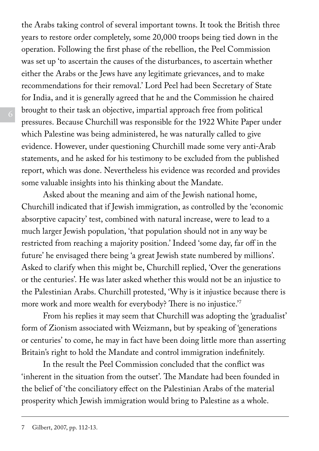the Arabs taking control of several important towns. It took the British three years to restore order completely, some 20,000 troops being tied down in the operation. Following the first phase of the rebellion, the Peel Commission was set up 'to ascertain the causes of the disturbances, to ascertain whether either the Arabs or the Jews have any legitimate grievances, and to make recommendations for their removal.' Lord Peel had been Secretary of State for India, and it is generally agreed that he and the Commission he chaired brought to their task an objective, impartial approach free from political pressures. Because Churchill was responsible for the 1922 White Paper under which Palestine was being administered, he was naturally called to give evidence. However, under questioning Churchill made some very anti-Arab statements, and he asked for his testimony to be excluded from the published report, which was done. Nevertheless his evidence was recorded and provides some valuable insights into his thinking about the Mandate.

Asked about the meaning and aim of the Jewish national home, Churchill indicated that if Jewish immigration, as controlled by the 'economic absorptive capacity' test, combined with natural increase, were to lead to a much larger Jewish population, 'that population should not in any way be restricted from reaching a majority position.' Indeed 'some day, far off in the future' he envisaged there being 'a great Jewish state numbered by millions'. Asked to clarify when this might be, Churchill replied, 'Over the generations or the centuries'. He was later asked whether this would not be an injustice to the Palestinian Arabs. Churchill protested, 'Why is it injustice because there is more work and more wealth for everybody? There is no injustice.'7

From his replies it may seem that Churchill was adopting the 'gradualist' form of Zionism associated with Weizmann, but by speaking of 'generations or centuries' to come, he may in fact have been doing little more than asserting Britain's right to hold the Mandate and control immigration indefinitely.

In the result the Peel Commission concluded that the conflict was 'inherent in the situation from the outset'. The Mandate had been founded in the belief of 'the conciliatory effect on the Palestinian Arabs of the material prosperity which Jewish immigration would bring to Palestine as a whole.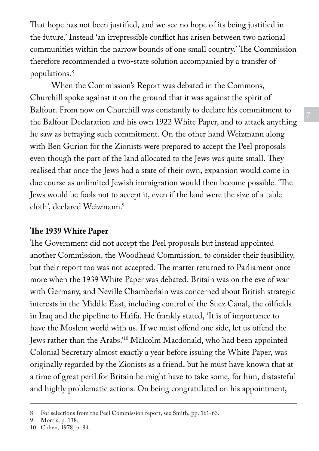That hope has not been justified, and we see no hope of its being justified in the future.' Instead 'an irrepressible conflict has arisen between two national communities within the narrow bounds of one small country.' The Commission therefore recommended a two-state solution accompanied by a transfer of populations.8

When the Commission's Report was debated in the Commons, Churchill spoke against it on the ground that it was against the spirit of Balfour. From now on Churchill was constantly to declare his commitment to the Balfour Declaration and his own 1922 White Paper, and to attack anything he saw as betraying such commitment. On the other hand Weizmann along with Ben Gurion for the Zionists were prepared to accept the Peel proposals even though the part of the land allocated to the Jews was quite small. They realised that once the Jews had a state of their own, expansion would come in due course as unlimited Jewish immigration would then become possible. 'The Jews would be fools not to accept it, even if the land were the size of a table cloth', declared Weizmann.9

## **The 1939 White Paper**

The Government did not accept the Peel proposals but instead appointed another Commission, the Woodhead Commission, to consider their feasibility, but their report too was not accepted. The matter returned to Parliament once more when the 1939 White Paper was debated. Britain was on the eve of war with Germany, and Neville Chamberlain was concerned about British strategic interests in the Middle East, including control of the Suez Canal, the oilfields in Iraq and the pipeline to Haifa. He frankly stated, 'It is of importance to have the Moslem world with us. If we must offend one side, let us offend the Jews rather than the Arabs.'10 Malcolm Macdonald, who had been appointed Colonial Secretary almost exactly a year before issuing the White Paper, was originally regarded by the Zionists as a friend, but he must have known that at a time of great peril for Britain he might have to take some, for him, distasteful and highly problematic actions. On being congratulated on his appointment,

<sup>8</sup> For selections from the Peel Commission report, see Smith, pp. 161-63.

<sup>9</sup> Morris, p. 138.

<sup>10</sup> Cohen, 1978, p. 84.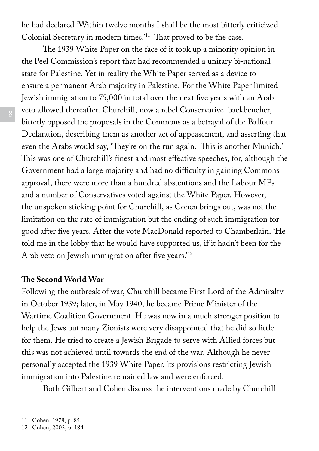he had declared 'Within twelve months I shall be the most bitterly criticized Colonial Secretary in modern times.'11 That proved to be the case.

The 1939 White Paper on the face of it took up a minority opinion in the Peel Commission's report that had recommended a unitary bi-national state for Palestine. Yet in reality the White Paper served as a device to ensure a permanent Arab majority in Palestine. For the White Paper limited Jewish immigration to 75,000 in total over the next five years with an Arab veto allowed thereafter. Churchill, now a rebel Conservative backbencher, bitterly opposed the proposals in the Commons as a betrayal of the Balfour Declaration, describing them as another act of appeasement, and asserting that even the Arabs would say, 'They're on the run again. This is another Munich.' This was one of Churchill's finest and most effective speeches, for, although the Government had a large majority and had no difficulty in gaining Commons approval, there were more than a hundred abstentions and the Labour MPs and a number of Conservatives voted against the White Paper. However, the unspoken sticking point for Churchill, as Cohen brings out, was not the limitation on the rate of immigration but the ending of such immigration for good after five years. After the vote MacDonald reported to Chamberlain, 'He told me in the lobby that he would have supported us, if it hadn't been for the Arab veto on Jewish immigration after five years.'12

#### **The Second World War**

Following the outbreak of war, Churchill became First Lord of the Admiralty in October 1939; later, in May 1940, he became Prime Minister of the Wartime Coalition Government. He was now in a much stronger position to help the Jews but many Zionists were very disappointed that he did so little for them. He tried to create a Jewish Brigade to serve with Allied forces but this was not achieved until towards the end of the war. Although he never personally accepted the 1939 White Paper, its provisions restricting Jewish immigration into Palestine remained law and were enforced.

Both Gilbert and Cohen discuss the interventions made by Churchill

<sup>11</sup> Cohen, 1978, p. 85.

<sup>12</sup> Cohen, 2003, p. 184.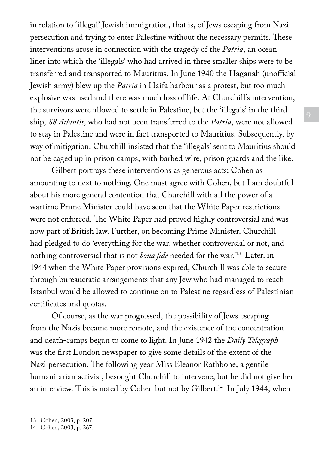in relation to 'illegal' Jewish immigration, that is, of Jews escaping from Nazi persecution and trying to enter Palestine without the necessary permits. These interventions arose in connection with the tragedy of the *Patria*, an ocean liner into which the 'illegals' who had arrived in three smaller ships were to be transferred and transported to Mauritius. In June 1940 the Haganah (unofficial Jewish army) blew up the *Patria* in Haifa harbour as a protest, but too much explosive was used and there was much loss of life. At Churchill's intervention, the survivors were allowed to settle in Palestine, but the 'illegals' in the third ship, *SS Atlantis*, who had not been transferred to the *Patria*, were not allowed to stay in Palestine and were in fact transported to Mauritius. Subsequently, by way of mitigation, Churchill insisted that the 'illegals' sent to Mauritius should not be caged up in prison camps, with barbed wire, prison guards and the like.

Gilbert portrays these interventions as generous acts; Cohen as amounting to next to nothing. One must agree with Cohen, but I am doubtful about his more general contention that Churchill with all the power of a wartime Prime Minister could have seen that the White Paper restrictions were not enforced. The White Paper had proved highly controversial and was now part of British law. Further, on becoming Prime Minister, Churchill had pledged to do 'everything for the war, whether controversial or not, and nothing controversial that is not *bona fide* needed for the war.'13 Later, in 1944 when the White Paper provisions expired, Churchill was able to secure through bureaucratic arrangements that any Jew who had managed to reach Istanbul would be allowed to continue on to Palestine regardless of Palestinian certificates and quotas.

Of course, as the war progressed, the possibility of Jews escaping from the Nazis became more remote, and the existence of the concentration and death-camps began to come to light. In June 1942 the *Daily Telegraph* was the first London newspaper to give some details of the extent of the Nazi persecution. The following year Miss Eleanor Rathbone, a gentile humanitarian activist, besought Churchill to intervene, but he did not give her an interview. This is noted by Cohen but not by Gilbert.<sup>14</sup> In July 1944, when

<sup>13</sup> Cohen, 2003, p. 207.

<sup>14</sup> Cohen, 2003, p. 267.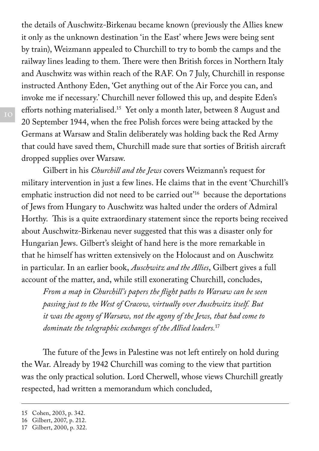the details of Auschwitz-Birkenau became known (previously the Allies knew it only as the unknown destination 'in the East' where Jews were being sent by train), Weizmann appealed to Churchill to try to bomb the camps and the railway lines leading to them. There were then British forces in Northern Italy and Auschwitz was within reach of the RAF. On 7 July, Churchill in response instructed Anthony Eden, 'Get anything out of the Air Force you can, and invoke me if necessary.' Churchill never followed this up, and despite Eden's efforts nothing materialised.15 Yet only a month later, between 8 August and 20 September 1944, when the free Polish forces were being attacked by the Germans at Warsaw and Stalin deliberately was holding back the Red Army that could have saved them, Churchill made sure that sorties of British aircraft dropped supplies over Warsaw.

Gilbert in his *Churchill and the Jews* covers Weizmann's request for military intervention in just a few lines. He claims that in the event 'Churchill's emphatic instruction did not need to be carried out'16 because the deportations of Jews from Hungary to Auschwitz was halted under the orders of Admiral Horthy. This is a quite extraordinary statement since the reports being received about Auschwitz-Birkenau never suggested that this was a disaster only for Hungarian Jews. Gilbert's sleight of hand here is the more remarkable in that he himself has written extensively on the Holocaust and on Auschwitz in particular. In an earlier book, *Auschwitz and the Allies*, Gilbert gives a full account of the matter, and, while still exonerating Churchill, concludes,

*From a map in Churchill's papers the flight paths to Warsaw can be seen passing just to the West of Cracow, virtually over Auschwitz itself. But it was the agony of Warsaw, not the agony of the Jews, that had come to dominate the telegraphic exchanges of the Allied leaders.*<sup>17</sup>

The future of the Jews in Palestine was not left entirely on hold during the War. Already by 1942 Churchill was coming to the view that partition was the only practical solution. Lord Cherwell, whose views Churchill greatly respected, had written a memorandum which concluded,

<sup>15</sup> Cohen, 2003, p. 342.

<sup>16</sup> Gilbert, 2007, p. 212.

<sup>17</sup> Gilbert, 2000, p. 322.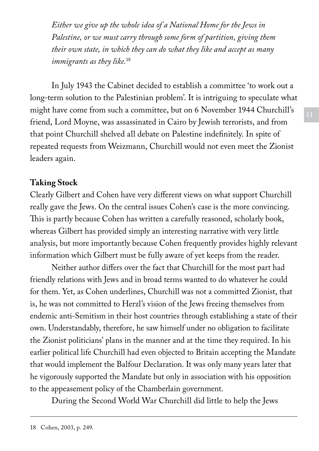*Either we give up the whole idea of a National Home for the Jews in Palestine, or we must carry through some form of partition, giving them their own state, in which they can do what they like and accept as many immigrants as they like.*<sup>18</sup>

In July 1943 the Cabinet decided to establish a committee 'to work out a long-term solution to the Palestinian problem'. It is intriguing to speculate what might have come from such a committee, but on 6 November 1944 Churchill's friend, Lord Moyne, was assassinated in Cairo by Jewish terrorists, and from that point Churchill shelved all debate on Palestine indefinitely. In spite of repeated requests from Weizmann, Churchill would not even meet the Zionist leaders again.

## **Taking Stock**

Clearly Gilbert and Cohen have very different views on what support Churchill really gave the Jews. On the central issues Cohen's case is the more convincing. This is partly because Cohen has written a carefully reasoned, scholarly book, whereas Gilbert has provided simply an interesting narrative with very little analysis, but more importantly because Cohen frequently provides highly relevant information which Gilbert must be fully aware of yet keeps from the reader.

Neither author differs over the fact that Churchill for the most part had friendly relations with Jews and in broad terms wanted to do whatever he could for them. Yet, as Cohen underlines, Churchill was not a committed Zionist, that is, he was not committed to Herzl's vision of the Jews freeing themselves from endemic anti-Semitism in their host countries through establishing a state of their own. Understandably, therefore, he saw himself under no obligation to facilitate the Zionist politicians' plans in the manner and at the time they required. In his earlier political life Churchill had even objected to Britain accepting the Mandate that would implement the Balfour Declaration. It was only many years later that he vigorously supported the Mandate but only in association with his opposition to the appeasement policy of the Chamberlain government.

During the Second World War Churchill did little to help the Jews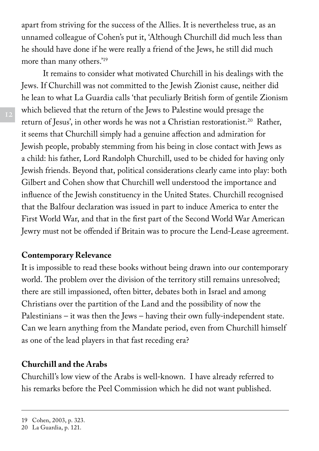apart from striving for the success of the Allies. It is nevertheless true, as an unnamed colleague of Cohen's put it, 'Although Churchill did much less than he should have done if he were really a friend of the Jews, he still did much more than many others.'19

It remains to consider what motivated Churchill in his dealings with the Jews. If Churchill was not committed to the Jewish Zionist cause, neither did he lean to what La Guardia calls 'that peculiarly British form of gentile Zionism which believed that the return of the Jews to Palestine would presage the return of Jesus', in other words he was not a Christian restorationist.<sup>20</sup> Rather, it seems that Churchill simply had a genuine affection and admiration for Jewish people, probably stemming from his being in close contact with Jews as a child: his father, Lord Randolph Churchill, used to be chided for having only Jewish friends. Beyond that, political considerations clearly came into play: both Gilbert and Cohen show that Churchill well understood the importance and influence of the Jewish constituency in the United States. Churchill recognised that the Balfour declaration was issued in part to induce America to enter the First World War, and that in the first part of the Second World War American Jewry must not be offended if Britain was to procure the Lend-Lease agreement.

#### **Contemporary Relevance**

It is impossible to read these books without being drawn into our contemporary world. The problem over the division of the territory still remains unresolved; there are still impassioned, often bitter, debates both in Israel and among Christians over the partition of the Land and the possibility of now the Palestinians – it was then the Jews – having their own fully-independent state. Can we learn anything from the Mandate period, even from Churchill himself as one of the lead players in that fast receding era?

#### **Churchill and the Arabs**

Churchill's low view of the Arabs is well-known. I have already referred to his remarks before the Peel Commission which he did not want published.

<sup>19</sup> Cohen, 2003, p. 323.

<sup>20</sup> La Guardia, p. 121.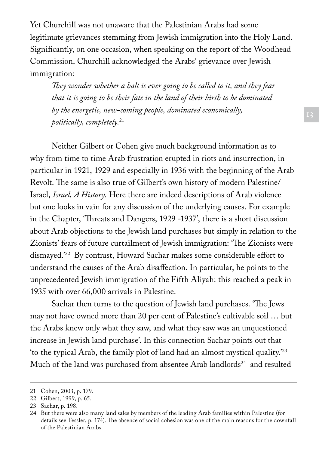Yet Churchill was not unaware that the Palestinian Arabs had some legitimate grievances stemming from Jewish immigration into the Holy Land. Significantly, on one occasion, when speaking on the report of the Woodhead Commission, Churchill acknowledged the Arabs' grievance over Jewish immigration:

*They wonder whether a halt is ever going to be called to it, and they fear that it is going to be their fate in the land of their birth to be dominated by the energetic, new-coming people, dominated economically, politically, completely.*<sup>21</sup>

Neither Gilbert or Cohen give much background information as to why from time to time Arab frustration erupted in riots and insurrection, in particular in 1921, 1929 and especially in 1936 with the beginning of the Arab Revolt. The same is also true of Gilbert's own history of modern Palestine/ Israel, *Israel, A History*. Here there are indeed descriptions of Arab violence but one looks in vain for any discussion of the underlying causes. For example in the Chapter, 'Threats and Dangers, 1929 -1937', there is a short discussion about Arab objections to the Jewish land purchases but simply in relation to the Zionists' fears of future curtailment of Jewish immigration: 'The Zionists were dismayed.'22 By contrast, Howard Sachar makes some considerable effort to understand the causes of the Arab disaffection. In particular, he points to the unprecedented Jewish immigration of the Fifth Aliyah: this reached a peak in 1935 with over 66,000 arrivals in Palestine.

Sachar then turns to the question of Jewish land purchases. 'The Jews may not have owned more than 20 per cent of Palestine's cultivable soil … but the Arabs knew only what they saw, and what they saw was an unquestioned increase in Jewish land purchase'. In this connection Sachar points out that 'to the typical Arab, the family plot of land had an almost mystical quality.'23 Much of the land was purchased from absentee Arab landlords<sup>24</sup> and resulted

<sup>21</sup> Cohen, 2003, p. 179.

<sup>22</sup> Gilbert, 1999, p. 65.

<sup>23</sup> Sachar, p. 198.

<sup>24</sup> But there were also many land sales by members of the leading Arab families within Palestine (for details see Tessler, p. 174). The absence of social cohesion was one of the main reasons for the downfall of the Palestinian Arabs.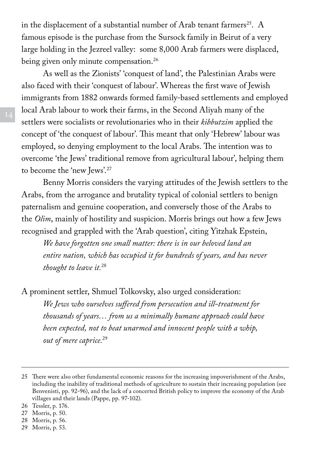in the displacement of a substantial number of Arab tenant farmers<sup>25</sup>. A famous episode is the purchase from the Sursock family in Beirut of a very large holding in the Jezreel valley: some 8,000 Arab farmers were displaced, being given only minute compensation.<sup>26</sup>

As well as the Zionists' 'conquest of land', the Palestinian Arabs were also faced with their 'conquest of labour'. Whereas the first wave of Jewish immigrants from 1882 onwards formed family-based settlements and employed local Arab labour to work their farms, in the Second Aliyah many of the settlers were socialists or revolutionaries who in their *kibbutzim* applied the concept of 'the conquest of labour'. This meant that only 'Hebrew' labour was employed, so denying employment to the local Arabs. The intention was to overcome 'the Jews' traditional remove from agricultural labour', helping them to become the 'new Jews'.27

Benny Morris considers the varying attitudes of the Jewish settlers to the Arabs, from the arrogance and brutality typical of colonial settlers to benign paternalism and genuine cooperation, and conversely those of the Arabs to the *Olim*, mainly of hostility and suspicion. Morris brings out how a few Jews recognised and grappled with the 'Arab question', citing Yitzhak Epstein,

*We have forgotten one small matter: there is in our beloved land an entire nation, which has occupied it for hundreds of years, and has never thought to leave it.*<sup>28</sup>

A prominent settler, Shmuel Tolkovsky, also urged consideration:

*We Jews who ourselves suffered from persecution and ill-treatment for thousands of years… from us a minimally humane approach could have been expected, not to beat unarmed and innocent people with a whip, out of mere caprice.*<sup>29</sup>

- 28 Morris, p. 56.
- 29 Morris, p. 53.

<sup>25</sup> There were also other fundamental economic reasons for the increasing impoverishment of the Arabs, including the inability of traditional methods of agriculture to sustain their increasing population (see Benvenisti, pp. 92-96), and the lack of a concerted British policy to improve the economy of the Arab villages and their lands (Pappe, pp. 97-102).

<sup>26</sup> Tessler, p. 176.

<sup>27</sup> Morris, p. 50.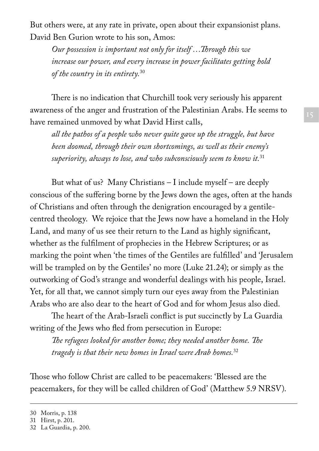But others were, at any rate in private, open about their expansionist plans. David Ben Gurion wrote to his son, Amos:

*Our possession is important not only for itself …Through this we increase our power, and every increase in power facilitates getting hold of the country in its entirety.*<sup>30</sup>

There is no indication that Churchill took very seriously his apparent awareness of the anger and frustration of the Palestinian Arabs. He seems to have remained unmoved by what David Hirst calls,

*all the pathos of a people who never quite gave up the struggle, but have been doomed, through their own shortcomings, as well as their enemy's superiority, always to lose, and who subconsciously seem to know it.*<sup>31</sup>

But what of us? Many Christians – I include myself – are deeply conscious of the suffering borne by the Jews down the ages, often at the hands of Christians and often through the denigration encouraged by a gentilecentred theology. We rejoice that the Jews now have a homeland in the Holy Land, and many of us see their return to the Land as highly significant, whether as the fulfilment of prophecies in the Hebrew Scriptures; or as marking the point when 'the times of the Gentiles are fulfilled' and 'Jerusalem will be trampled on by the Gentiles' no more (Luke 21.24); or simply as the outworking of God's strange and wonderful dealings with his people, Israel. Yet, for all that, we cannot simply turn our eyes away from the Palestinian Arabs who are also dear to the heart of God and for whom Jesus also died.

The heart of the Arab-Israeli conflict is put succinctly by La Guardia writing of the Jews who fled from persecution in Europe:

*The refugees looked for another home; they needed another home. The tragedy is that their new homes in Israel were Arab homes.*<sup>32</sup>

Those who follow Christ are called to be peacemakers: 'Blessed are the peacemakers, for they will be called children of God' (Matthew 5.9 NRSV).

<sup>30</sup> Morris, p. 138

<sup>31</sup> Hirst, p. 201.

<sup>32</sup> La Guardia, p. 200.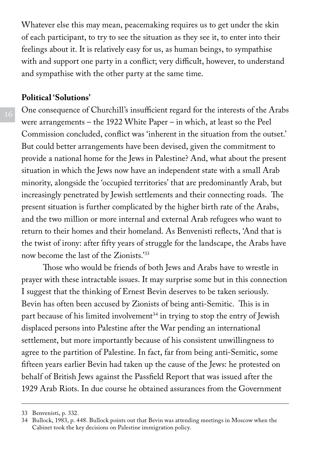Whatever else this may mean, peacemaking requires us to get under the skin of each participant, to try to see the situation as they see it, to enter into their feelings about it. It is relatively easy for us, as human beings, to sympathise with and support one party in a conflict; very difficult, however, to understand and sympathise with the other party at the same time.

#### **Political 'Solutions'**

One consequence of Churchill's insufficient regard for the interests of the Arabs were arrangements – the 1922 White Paper – in which, at least so the Peel Commission concluded, conflict was 'inherent in the situation from the outset.' But could better arrangements have been devised, given the commitment to provide a national home for the Jews in Palestine? And, what about the present situation in which the Jews now have an independent state with a small Arab minority, alongside the 'occupied territories' that are predominantly Arab, but increasingly penetrated by Jewish settlements and their connecting roads. The present situation is further complicated by the higher birth rate of the Arabs, and the two million or more internal and external Arab refugees who want to return to their homes and their homeland. As Benvenisti reflects, 'And that is the twist of irony: after fifty years of struggle for the landscape, the Arabs have now become the last of the Zionists.'33

Those who would be friends of both Jews and Arabs have to wrestle in prayer with these intractable issues. It may surprise some but in this connection I suggest that the thinking of Ernest Bevin deserves to be taken seriously. Bevin has often been accused by Zionists of being anti-Semitic. This is in part because of his limited involvement<sup>34</sup> in trying to stop the entry of Jewish displaced persons into Palestine after the War pending an international settlement, but more importantly because of his consistent unwillingness to agree to the partition of Palestine. In fact, far from being anti-Semitic, some fifteen years earlier Bevin had taken up the cause of the Jews: he protested on behalf of British Jews against the Passfield Report that was issued after the 1929 Arab Riots. In due course he obtained assurances from the Government

<sup>33</sup> Benvenisti, p. 332.

<sup>34</sup> Bullock, 1983, p. 448. Bullock points out that Bevin was attending meetings in Moscow when the Cabinet took the key decisions on Palestine immigration policy.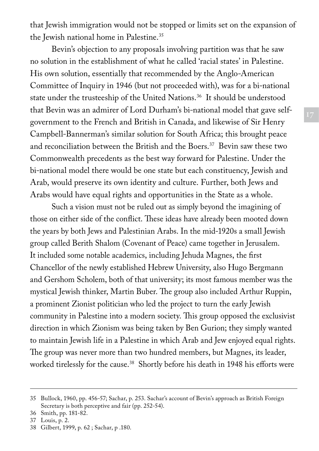that Jewish immigration would not be stopped or limits set on the expansion of the Jewish national home in Palestine.<sup>35</sup>

Bevin's objection to any proposals involving partition was that he saw no solution in the establishment of what he called 'racial states' in Palestine. His own solution, essentially that recommended by the Anglo-American Committee of Inquiry in 1946 (but not proceeded with), was for a bi-national state under the trusteeship of the United Nations.36 It should be understood that Bevin was an admirer of Lord Durham's bi-national model that gave selfgovernment to the French and British in Canada, and likewise of Sir Henry Campbell-Bannerman's similar solution for South Africa; this brought peace and reconciliation between the British and the Boers.<sup>37</sup> Bevin saw these two Commonwealth precedents as the best way forward for Palestine. Under the bi-national model there would be one state but each constituency, Jewish and Arab, would preserve its own identity and culture. Further, both Jews and Arabs would have equal rights and opportunities in the State as a whole.

Such a vision must not be ruled out as simply beyond the imagining of those on either side of the conflict. These ideas have already been mooted down the years by both Jews and Palestinian Arabs. In the mid-1920s a small Jewish group called Berith Shalom (Covenant of Peace) came together in Jerusalem. It included some notable academics, including Jehuda Magnes, the first Chancellor of the newly established Hebrew University, also Hugo Bergmann and Gershom Scholem, both of that university; its most famous member was the mystical Jewish thinker, Martin Buber. The group also included Arthur Ruppin, a prominent Zionist politician who led the project to turn the early Jewish community in Palestine into a modern society. This group opposed the exclusivist direction in which Zionism was being taken by Ben Gurion; they simply wanted to maintain Jewish life in a Palestine in which Arab and Jew enjoyed equal rights. The group was never more than two hundred members, but Magnes, its leader, worked tirelessly for the cause.<sup>38</sup> Shortly before his death in 1948 his efforts were

<sup>35</sup> Bullock, 1960, pp. 456-57; Sachar, p. 253. Sachar's account of Bevin's approach as British Foreign Secretary is both perceptive and fair (pp. 252-54).

<sup>36</sup> Smith, pp. 181-82.

<sup>37</sup> Louis, p. 2.

<sup>38</sup> Gilbert, 1999, p. 62 ; Sachar, p .180.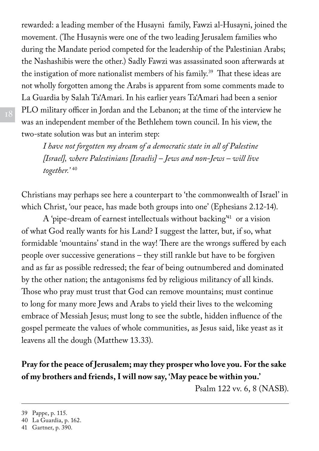rewarded: a leading member of the Husayni family, Fawzi al-Husayni, joined the movement. (The Husaynis were one of the two leading Jerusalem families who during the Mandate period competed for the leadership of the Palestinian Arabs; the Nashashibis were the other.) Sadly Fawzi was assassinated soon afterwards at the instigation of more nationalist members of his family.<sup>39</sup> That these ideas are not wholly forgotten among the Arabs is apparent from some comments made to La Guardia by Salah Ta'Amari. In his earlier years Ta'Amari had been a senior PLO military officer in Jordan and the Lebanon; at the time of the interview he was an independent member of the Bethlehem town council. In his view, the two-state solution was but an interim step:

*I have not forgotten my dream of a democratic state in all of Palestine [Israel], where Palestinians [Israelis] – Jews and non-Jews – will live together.'* <sup>40</sup>

Christians may perhaps see here a counterpart to 'the commonwealth of Israel' in which Christ, 'our peace, has made both groups into one' (Ephesians 2.12-14).

A 'pipe-dream of earnest intellectuals without backing'41 or a vision of what God really wants for his Land? I suggest the latter, but, if so, what formidable 'mountains' stand in the way! There are the wrongs suffered by each people over successive generations – they still rankle but have to be forgiven and as far as possible redressed; the fear of being outnumbered and dominated by the other nation; the antagonisms fed by religious militancy of all kinds. Those who pray must trust that God can remove mountains; must continue to long for many more Jews and Arabs to yield their lives to the welcoming embrace of Messiah Jesus; must long to see the subtle, hidden influence of the gospel permeate the values of whole communities, as Jesus said, like yeast as it leavens all the dough (Matthew 13.33).

## **Pray for the peace of Jerusalem; may they prosper who love you. For the sake of my brothers and friends, I will now say, 'May peace be within you.'**

Psalm 122 vv. 6, 8 (NASB).

<sup>39</sup> Pappe, p. 115.

<sup>40</sup> La Guardia, p. 162.

<sup>41</sup> Gartner, p. 390.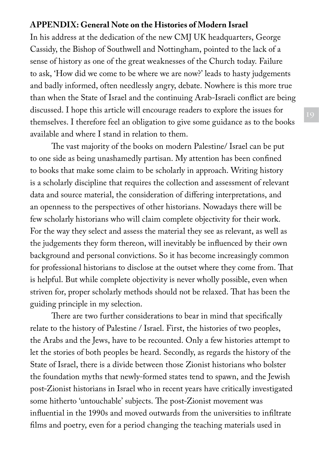#### **Appendix: General Note on the Histories of Modern Israel**

In his address at the dedication of the new CMJ UK headquarters, George Cassidy, the Bishop of Southwell and Nottingham, pointed to the lack of a sense of history as one of the great weaknesses of the Church today. Failure to ask, 'How did we come to be where we are now?' leads to hasty judgements and badly informed, often needlessly angry, debate. Nowhere is this more true than when the State of Israel and the continuing Arab-Israeli conflict are being discussed. I hope this article will encourage readers to explore the issues for themselves. I therefore feel an obligation to give some guidance as to the books available and where I stand in relation to them.

The vast majority of the books on modern Palestine/ Israel can be put to one side as being unashamedly partisan. My attention has been confined to books that make some claim to be scholarly in approach. Writing history is a scholarly discipline that requires the collection and assessment of relevant data and source material, the consideration of differing interpretations, and an openness to the perspectives of other historians. Nowadays there will be few scholarly historians who will claim complete objectivity for their work. For the way they select and assess the material they see as relevant, as well as the judgements they form thereon, will inevitably be influenced by their own background and personal convictions. So it has become increasingly common for professional historians to disclose at the outset where they come from. That is helpful. But while complete objectivity is never wholly possible, even when striven for, proper scholarly methods should not be relaxed. That has been the guiding principle in my selection.

There are two further considerations to bear in mind that specifically relate to the history of Palestine / Israel. First, the histories of two peoples, the Arabs and the Jews, have to be recounted. Only a few histories attempt to let the stories of both peoples be heard. Secondly, as regards the history of the State of Israel, there is a divide between those Zionist historians who bolster the foundation myths that newly-formed states tend to spawn, and the Jewish post-Zionist historians in Israel who in recent years have critically investigated some hitherto 'untouchable' subjects. The post-Zionist movement was influential in the 1990s and moved outwards from the universities to infiltrate films and poetry, even for a period changing the teaching materials used in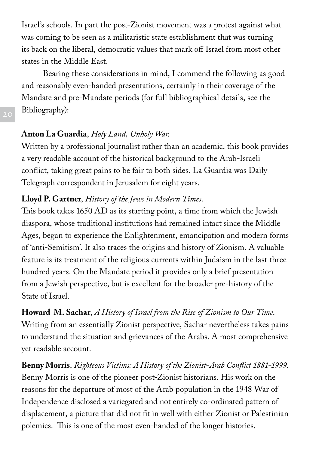Israel's schools. In part the post-Zionist movement was a protest against what was coming to be seen as a militaristic state establishment that was turning its back on the liberal, democratic values that mark off Israel from most other states in the Middle East.

Bearing these considerations in mind, I commend the following as good and reasonably even-handed presentations, certainly in their coverage of the Mandate and pre-Mandate periods (for full bibliographical details, see the Bibliography):

## **Anton La Guardia**, *Holy Land, Unholy War*.

Written by a professional journalist rather than an academic, this book provides a very readable account of the historical background to the Arab-Israeli conflict, taking great pains to be fair to both sides. La Guardia was Daily Telegraph correspondent in Jerusalem for eight years.

## **Lloyd P. Gartner**, *History of the Jews in Modern Times*.

This book takes 1650 AD as its starting point, a time from which the Jewish diaspora, whose traditional institutions had remained intact since the Middle Ages, began to experience the Enlightenment, emancipation and modern forms of 'anti-Semitism'. It also traces the origins and history of Zionism. A valuable feature is its treatment of the religious currents within Judaism in the last three hundred years. On the Mandate period it provides only a brief presentation from a Jewish perspective, but is excellent for the broader pre-history of the State of Israel.

**Howard M. Sachar**, *A History of Israel from the Rise of Zionism to Our Time*. Writing from an essentially Zionist perspective, Sachar nevertheless takes pains to understand the situation and grievances of the Arabs. A most comprehensive yet readable account.

**Benny Morris**, *Righteous Victims: A History of the Zionist-Arab Conflict 1881-1999*. Benny Morris is one of the pioneer post-Zionist historians. His work on the reasons for the departure of most of the Arab population in the 1948 War of Independence disclosed a variegated and not entirely co-ordinated pattern of displacement, a picture that did not fit in well with either Zionist or Palestinian polemics. This is one of the most even-handed of the longer histories.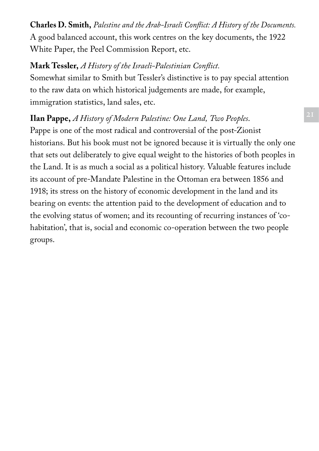**Charles D. Smith,** *Palestine and the Arab-Israeli Conflict: A History of the Documents.* A good balanced account, this work centres on the key documents, the 1922 White Paper, the Peel Commission Report, etc.

## **Mark Tessler,** *A History of the Israeli-Palestinian Conflict.*

Somewhat similar to Smith but Tessler's distinctive is to pay special attention to the raw data on which historical judgements are made, for example, immigration statistics, land sales, etc.

# **Ilan Pappe,** *A History of Modern Palestine: One Land, Two Peoples*.

Pappe is one of the most radical and controversial of the post-Zionist historians. But his book must not be ignored because it is virtually the only one that sets out deliberately to give equal weight to the histories of both peoples in the Land. It is as much a social as a political history. Valuable features include its account of pre-Mandate Palestine in the Ottoman era between 1856 and 1918; its stress on the history of economic development in the land and its bearing on events: the attention paid to the development of education and to the evolving status of women; and its recounting of recurring instances of 'cohabitation', that is, social and economic co-operation between the two people groups.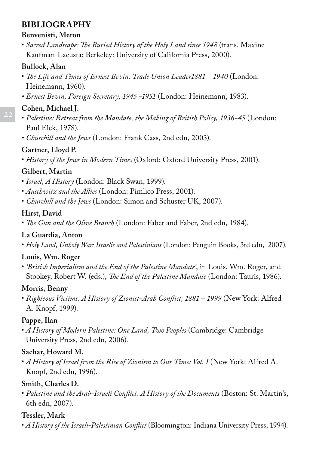## **Bibliography**

#### **Benvenisti, Meron**

• *Sacred Landscape: The Buried History of the Holy Land since 1948* (trans. Maxine Kaufman-Lacusta; Berkeley: University of California Press, 2000).

#### **Bullock, Alan**

- *The Life and Times of Ernest Bevin: Trade Union Leader1881 1940* (London: Heinemann, 1960).
- *Ernest Bevin, Foreign Secretary, 1945 -1951* (London: Heinemann, 1983).

#### **Cohen, Michael J.**

- *Palestine: Retreat from the Mandate, the Making of British Policy, 1936-45* (London: Paul Elek, 1978).
- *Churchill and the Jews* (London: Frank Cass, 2nd edn, 2003).

#### **Gartner, Lloyd P.**

• *History of the Jews in Modern Times* (Oxford: Oxford University Press, 2001).

#### **Gilbert, Martin**

- *Israel, A History* (London: Black Swan, 1999).
- *Auschwitz and the Allies* (London: Pimlico Press, 2001).
- *Churchill and the Jews* (London: Simon and Schuster UK, 2007).

#### **Hirst, David**

• *The Gun and the Olive Branch* (London: Faber and Faber, 2nd edn, 1984).

#### **La Guardia, Anton**

• *Holy Land, Unholy War: Israelis and Palestinians* (London: Penguin Books, 3rd edn, 2007).

## **Louis, Wm. Roger**

• *'British Imperialism and the End of the Palestine Mandate'*, in Louis, Wm. Roger, and Stookey, Robert W. (eds.), *The End of the Palestine Mandate* (London: Tauris, 1986).

#### **Morris, Benny**

• *Righteous Victims: A History of Zionist-Arab Conflict, 1881 – 1999* (New York: Alfred A. Knopf, 1999).

#### **Pappe, Ilan**

• *A History of Modern Palestine: One Land, Two Peoples* (Cambridge: Cambridge University Press, 2nd edn, 2006).

#### **Sachar, Howard M.**

• *A History of Israel from the Rise of Zionism to Our Time: Vol. I* (New York: Alfred A. Knopf, 2nd edn, 1996).

#### **Smith, Charles D.**

• *Palestine and the Arab-Israeli Conflict: A History of the Documents* (Boston: St. Martin's, 6th edn, 2007).

## **Tessler, Mark**

• *A History of the Israeli-Palestinian Conflict* (Bloomington: Indiana University Press, 1994).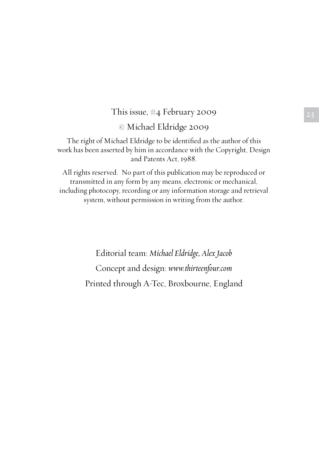# This issue,  $\#4$  February 2009 23

#### © Michael Eldridge 2009

The right of Michael Eldridge to be identified as the author of this work has been asserted by him in accordance with the Copyright, Design and Patents Act, 1988.

All rights reserved. No part of this publication may be reproduced or transmitted in any form by any means, electronic or mechanical, including photocopy, recording or any information storage and retrieval system, without permission in writing from the author.

> Editorial team: *Michael Eldridge, Alex Jacob* Concept and design: *www.thirteenfour.com* Printed through A-Tec, Broxbourne, England